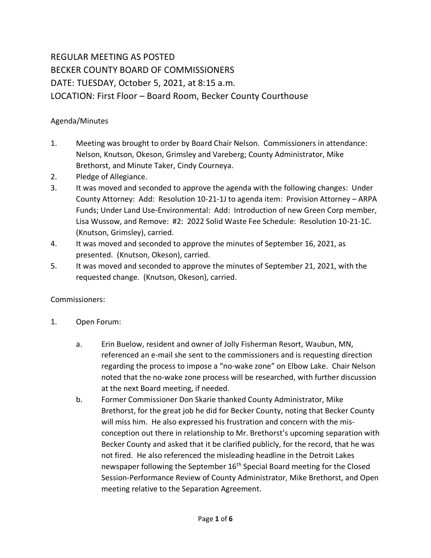## REGULAR MEETING AS POSTED BECKER COUNTY BOARD OF COMMISSIONERS DATE: TUESDAY, October 5, 2021, at 8:15 a.m. LOCATION: First Floor – Board Room, Becker County Courthouse

## Agenda/Minutes

- 1. Meeting was brought to order by Board Chair Nelson. Commissioners in attendance: Nelson, Knutson, Okeson, Grimsley and Vareberg; County Administrator, Mike Brethorst, and Minute Taker, Cindy Courneya.
- 2. Pledge of Allegiance.
- 3. It was moved and seconded to approve the agenda with the following changes: Under County Attorney: Add: Resolution 10-21-1J to agenda item: Provision Attorney – ARPA Funds; Under Land Use-Environmental: Add: Introduction of new Green Corp member, Lisa Wussow, and Remove: #2: 2022 Solid Waste Fee Schedule: Resolution 10-21-1C. (Knutson, Grimsley), carried.
- 4. It was moved and seconded to approve the minutes of September 16, 2021, as presented. (Knutson, Okeson), carried.
- 5. It was moved and seconded to approve the minutes of September 21, 2021, with the requested change. (Knutson, Okeson), carried.

## Commissioners:

- 1. Open Forum:
	- a. Erin Buelow, resident and owner of Jolly Fisherman Resort, Waubun, MN, referenced an e-mail she sent to the commissioners and is requesting direction regarding the process to impose a "no-wake zone" on Elbow Lake. Chair Nelson noted that the no-wake zone process will be researched, with further discussion at the next Board meeting, if needed.
	- b. Former Commissioner Don Skarie thanked County Administrator, Mike Brethorst, for the great job he did for Becker County, noting that Becker County will miss him. He also expressed his frustration and concern with the misconception out there in relationship to Mr. Brethorst's upcoming separation with Becker County and asked that it be clarified publicly, for the record, that he was not fired. He also referenced the misleading headline in the Detroit Lakes newspaper following the September 16<sup>th</sup> Special Board meeting for the Closed Session-Performance Review of County Administrator, Mike Brethorst, and Open meeting relative to the Separation Agreement.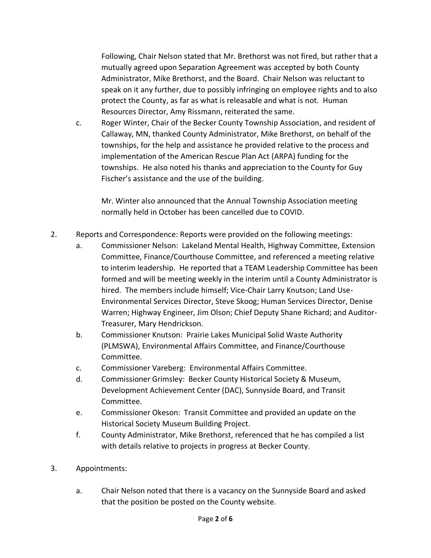Following, Chair Nelson stated that Mr. Brethorst was not fired, but rather that a mutually agreed upon Separation Agreement was accepted by both County Administrator, Mike Brethorst, and the Board. Chair Nelson was reluctant to speak on it any further, due to possibly infringing on employee rights and to also protect the County, as far as what is releasable and what is not. Human Resources Director, Amy Rissmann, reiterated the same.

c. Roger Winter, Chair of the Becker County Township Association, and resident of Callaway, MN, thanked County Administrator, Mike Brethorst, on behalf of the townships, for the help and assistance he provided relative to the process and implementation of the American Rescue Plan Act (ARPA) funding for the townships. He also noted his thanks and appreciation to the County for Guy Fischer's assistance and the use of the building.

Mr. Winter also announced that the Annual Township Association meeting normally held in October has been cancelled due to COVID.

- 2. Reports and Correspondence: Reports were provided on the following meetings:
	- a. Commissioner Nelson: Lakeland Mental Health, Highway Committee, Extension Committee, Finance/Courthouse Committee, and referenced a meeting relative to interim leadership. He reported that a TEAM Leadership Committee has been formed and will be meeting weekly in the interim until a County Administrator is hired. The members include himself; Vice-Chair Larry Knutson; Land Use-Environmental Services Director, Steve Skoog; Human Services Director, Denise Warren; Highway Engineer, Jim Olson; Chief Deputy Shane Richard; and Auditor-Treasurer, Mary Hendrickson.
	- b. Commissioner Knutson: Prairie Lakes Municipal Solid Waste Authority (PLMSWA), Environmental Affairs Committee, and Finance/Courthouse Committee.
	- c. Commissioner Vareberg: Environmental Affairs Committee.
	- d. Commissioner Grimsley: Becker County Historical Society & Museum, Development Achievement Center (DAC), Sunnyside Board, and Transit Committee.
	- e. Commissioner Okeson: Transit Committee and provided an update on the Historical Society Museum Building Project.
	- f. County Administrator, Mike Brethorst, referenced that he has compiled a list with details relative to projects in progress at Becker County.
- 3. Appointments:
	- a. Chair Nelson noted that there is a vacancy on the Sunnyside Board and asked that the position be posted on the County website.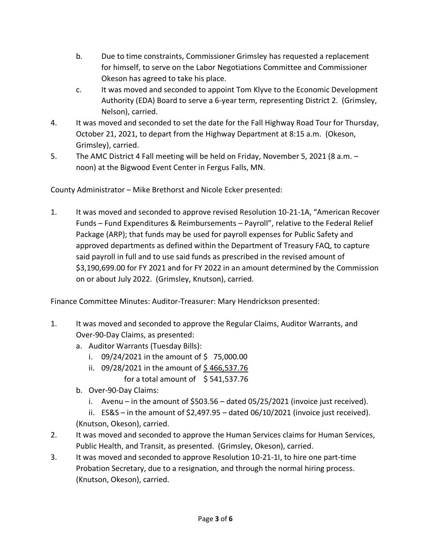- b. Due to time constraints, Commissioner Grimsley has requested a replacement for himself, to serve on the Labor Negotiations Committee and Commissioner Okeson has agreed to take his place.
- c. It was moved and seconded to appoint Tom Klyve to the Economic Development Authority (EDA) Board to serve a 6-year term, representing District 2. (Grimsley, Nelson), carried.
- 4. It was moved and seconded to set the date for the Fall Highway Road Tour for Thursday, October 21, 2021, to depart from the Highway Department at 8:15 a.m. (Okeson, Grimsley), carried.
- 5. The AMC District 4 Fall meeting will be held on Friday, November 5, 2021 (8 a.m. noon) at the Bigwood Event Center in Fergus Falls, MN.

County Administrator – Mike Brethorst and Nicole Ecker presented:

1. It was moved and seconded to approve revised Resolution 10-21-1A, "American Recover Funds – Fund Expenditures & Reimbursements – Payroll", relative to the Federal Relief Package (ARP); that funds may be used for payroll expenses for Public Safety and approved departments as defined within the Department of Treasury FAQ, to capture said payroll in full and to use said funds as prescribed in the revised amount of \$3,190,699.00 for FY 2021 and for FY 2022 in an amount determined by the Commission on or about July 2022. (Grimsley, Knutson), carried.

Finance Committee Minutes: Auditor-Treasurer: Mary Hendrickson presented:

- 1. It was moved and seconded to approve the Regular Claims, Auditor Warrants, and Over-90-Day Claims, as presented:
	- a. Auditor Warrants (Tuesday Bills):
		- i.  $09/24/2021$  in the amount of \$75,000.00
		- ii. 09/28/2021 in the amount of  $$466,537.76$ 
			- for a total amount of  $$541,537.76$
	- b. Over-90-Day Claims:
		- i. Avenu in the amount of \$503.56 dated 05/25/2021 (invoice just received).
	- ii. ES&S in the amount of \$2,497.95 dated 06/10/2021 (invoice just received). (Knutson, Okeson), carried.
- 2. It was moved and seconded to approve the Human Services claims for Human Services, Public Health, and Transit, as presented. (Grimsley, Okeson), carried.
- 3. It was moved and seconded to approve Resolution 10-21-1I, to hire one part-time Probation Secretary, due to a resignation, and through the normal hiring process. (Knutson, Okeson), carried.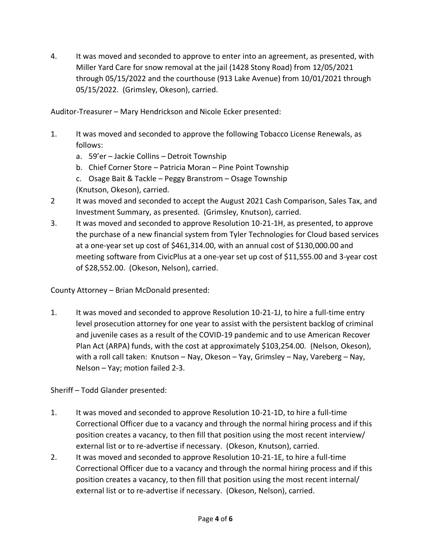4. It was moved and seconded to approve to enter into an agreement, as presented, with Miller Yard Care for snow removal at the jail (1428 Stony Road) from 12/05/2021 through 05/15/2022 and the courthouse (913 Lake Avenue) from 10/01/2021 through 05/15/2022. (Grimsley, Okeson), carried.

Auditor-Treasurer – Mary Hendrickson and Nicole Ecker presented:

- 1. It was moved and seconded to approve the following Tobacco License Renewals, as follows:
	- a. 59'er Jackie Collins Detroit Township
	- b. Chief Corner Store Patricia Moran Pine Point Township
	- c. Osage Bait & Tackle Peggy Branstrom Osage Township (Knutson, Okeson), carried.
- 2 It was moved and seconded to accept the August 2021 Cash Comparison, Sales Tax, and Investment Summary, as presented. (Grimsley, Knutson), carried.
- 3. It was moved and seconded to approve Resolution 10-21-1H, as presented, to approve the purchase of a new financial system from Tyler Technologies for Cloud based services at a one-year set up cost of \$461,314.00, with an annual cost of \$130,000.00 and meeting software from CivicPlus at a one-year set up cost of \$11,555.00 and 3-year cost of \$28,552.00. (Okeson, Nelson), carried.

County Attorney – Brian McDonald presented:

1. It was moved and seconded to approve Resolution 10-21-1J, to hire a full-time entry level prosecution attorney for one year to assist with the persistent backlog of criminal and juvenile cases as a result of the COVID-19 pandemic and to use American Recover Plan Act (ARPA) funds, with the cost at approximately \$103,254.00. (Nelson, Okeson), with a roll call taken: Knutson – Nay, Okeson – Yay, Grimsley – Nay, Vareberg – Nay, Nelson – Yay; motion failed 2-3.

Sheriff – Todd Glander presented:

- 1. It was moved and seconded to approve Resolution 10-21-1D, to hire a full-time Correctional Officer due to a vacancy and through the normal hiring process and if this position creates a vacancy, to then fill that position using the most recent interview/ external list or to re-advertise if necessary. (Okeson, Knutson), carried.
- 2. It was moved and seconded to approve Resolution 10-21-1E, to hire a full-time Correctional Officer due to a vacancy and through the normal hiring process and if this position creates a vacancy, to then fill that position using the most recent internal/ external list or to re-advertise if necessary. (Okeson, Nelson), carried.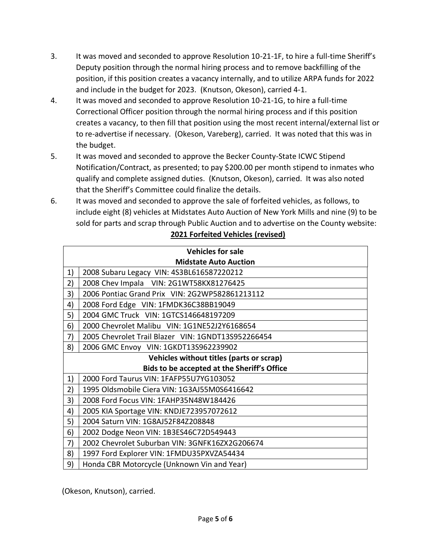- 3. It was moved and seconded to approve Resolution 10-21-1F, to hire a full-time Sheriff's Deputy position through the normal hiring process and to remove backfilling of the position, if this position creates a vacancy internally, and to utilize ARPA funds for 2022 and include in the budget for 2023. (Knutson, Okeson), carried 4-1.
- 4. It was moved and seconded to approve Resolution 10-21-1G, to hire a full-time Correctional Officer position through the normal hiring process and if this position creates a vacancy, to then fill that position using the most recent internal/external list or to re-advertise if necessary. (Okeson, Vareberg), carried. It was noted that this was in the budget.
- 5. It was moved and seconded to approve the Becker County-State ICWC Stipend Notification/Contract, as presented; to pay \$200.00 per month stipend to inmates who qualify and complete assigned duties. (Knutson, Okeson), carried. It was also noted that the Sheriff's Committee could finalize the details.
- 6. It was moved and seconded to approve the sale of forfeited vehicles, as follows, to include eight (8) vehicles at Midstates Auto Auction of New York Mills and nine (9) to be sold for parts and scrap through Public Auction and to advertise on the County website: **2021 Forfeited Vehicles (revised)**

| <b>Vehicles for sale</b>                    |                                                    |
|---------------------------------------------|----------------------------------------------------|
| <b>Midstate Auto Auction</b>                |                                                    |
| 1)                                          | 2008 Subaru Legacy VIN: 4S3BL616587220212          |
| 2)                                          | 2008 Chev Impala VIN: 2G1WT58KX81276425            |
| 3)                                          | 2006 Pontiac Grand Prix VIN: 2G2WP582861213112     |
| 4)                                          | 2008 Ford Edge VIN: 1FMDK36C38BB19049              |
| 5)                                          | 2004 GMC Truck VIN: 1GTCS146648197209              |
| 6)                                          | 2000 Chevrolet Malibu VIN: 1G1NE52J2Y6168654       |
| 7)                                          | 2005 Chevrolet Trail Blazer VIN: 1GNDT13S952266454 |
| 8)                                          | 2006 GMC Envoy VIN: 1GKDT13S962239902              |
| Vehicles without titles (parts or scrap)    |                                                    |
| Bids to be accepted at the Sheriff's Office |                                                    |
| 1)                                          | 2000 Ford Taurus VIN: 1FAFP55U7YG103052            |
| 2)                                          | 1995 Oldsmobile Ciera VIN: 1G3AJ55M0S6416642       |
| 3)                                          | 2008 Ford Focus VIN: 1FAHP35N48W184426             |
| 4)                                          | 2005 KIA Sportage VIN: KNDJE723957072612           |
| 5)                                          | 2004 Saturn VIN: 1G8AJ52F84Z208848                 |
| 6)                                          | 2002 Dodge Neon VIN: 1B3ES46C72D549443             |
| 7)                                          | 2002 Chevrolet Suburban VIN: 3GNFK16ZX2G206674     |
| 8)                                          | 1997 Ford Explorer VIN: 1FMDU35PXVZA54434          |
| 9)                                          | Honda CBR Motorcycle (Unknown Vin and Year)        |

(Okeson, Knutson), carried.